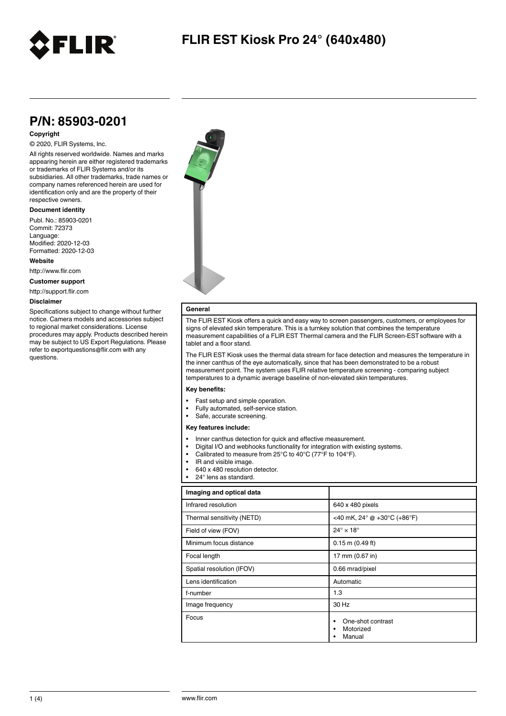

### **P/N: 85903-0201**

#### **Copyright**

#### © 2020, FLIR Systems, Inc.

All rights reserved worldwide. Names and marks appearing herein are either registered trademarks or trademarks of FLIR Systems and/or its subsidiaries. All other trademarks, trade names or company names referenced herein are used for identification only and are the property of their respective owners.

#### **Document identity**

Publ. No.: 85903-0201 Commit: 72373 Language: Modified: 2020-12-03 Formatted: 2020-12-03

**Website**

http://www.flir.com

**Customer support**

http://support.flir.com

#### **Disclaimer**

Specifications subject to change without further notice. Camera models and accessories subject to regional market considerations. License procedures may apply. Products described herein may be subject to US Export Regulations. Please refer to exportquestions@flir.com with any questions.



### **General**

The FLIR EST Kiosk offers a quick and easy way to screen passengers, customers, or employees for signs of elevated skin temperature. This is a turnkey solution that combines the temperature measurement capabilities of a FLIR EST Thermal camera and the FLIR Screen-ESTsoftware with a tablet and a floor stand.

The FLIR EST Kiosk uses the thermal data stream for face detection and measures the temperature in the inner canthus of the eye automatically, since that has been demonstrated to be a robust measurement point. The system uses FLIR relative temperature screening - comparing subject temperatures to a dynamic average baseline of non-elevated skin temperatures.

#### **Key benefits:**

- Fast setup and simple operation.
- Fully automated, self-service station.
- Safe, accurate screening.

#### **Key features include:**

- Inner canthus detection for quick and effective measurement.
- Digital I/O and webhooks functionality for integration with existing systems.
- Calibrated to measure from 25°C to 40°C (77°F to 104°F).
- IR and visible image.
- 640 x 480 resolution detector.
- 24° lens as standard

| Imaging and optical data   |                                                             |
|----------------------------|-------------------------------------------------------------|
| Infrared resolution        | 640 x 480 pixels                                            |
| Thermal sensitivity (NETD) | <40 mK, 24 $^{\circ}$ @ +30 $^{\circ}$ C (+86 $^{\circ}$ F) |
| Field of view (FOV)        | $24^\circ \times 18^\circ$                                  |
| Minimum focus distance     | $0.15$ m $(0.49$ ft)                                        |
| Focal length               | 17 mm (0.67 in)                                             |
| Spatial resolution (IFOV)  | 0.66 mrad/pixel                                             |
| Lens identification        | Automatic                                                   |
| f-number                   | 1.3                                                         |
| Image frequency            | 30 Hz                                                       |
| Focus                      | One-shot contrast<br>Motorized<br>Manual                    |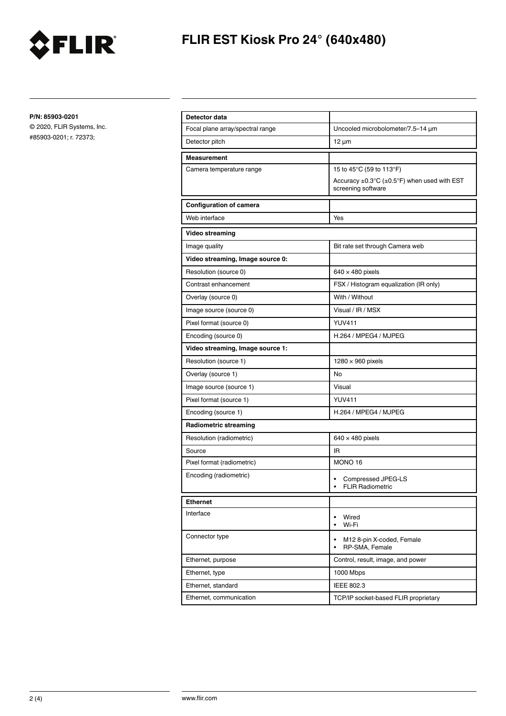

# **FLIR EST Kiosk Pro 24° (640x480)**

**P/N: 85903-0201**

© 2020, FLIR Systems, Inc. #85903-0201; r. 72373;

| Detector data                    |                                                                                             |
|----------------------------------|---------------------------------------------------------------------------------------------|
| Focal plane array/spectral range | Uncooled microbolometer/7.5-14 µm                                                           |
| Detector pitch                   | $12 \mu m$                                                                                  |
| <b>Measurement</b>               |                                                                                             |
| Camera temperature range         | 15 to 45°C (59 to 113°F)                                                                    |
|                                  | Accuracy $\pm 0.3^{\circ}C$ ( $\pm 0.5^{\circ}F$ ) when used with EST<br>screening software |
| <b>Configuration of camera</b>   |                                                                                             |
| Web interface                    | Yes                                                                                         |
| Video streaming                  |                                                                                             |
| Image quality                    | Bit rate set through Camera web                                                             |
| Video streaming, Image source 0: |                                                                                             |
| Resolution (source 0)            | $640 \times 480$ pixels                                                                     |
| Contrast enhancement             | FSX / Histogram equalization (IR only)                                                      |
| Overlay (source 0)               | With / Without                                                                              |
| Image source (source 0)          | Visual / IR / MSX                                                                           |
| Pixel format (source 0)          | <b>YUV411</b>                                                                               |
| Encoding (source 0)              | H.264 / MPEG4 / MJPEG                                                                       |
| Video streaming, Image source 1: |                                                                                             |
| Resolution (source 1)            | $1280 \times 960$ pixels                                                                    |
| Overlay (source 1)               | No                                                                                          |
| Image source (source 1)          | Visual                                                                                      |
| Pixel format (source 1)          | <b>YUV411</b>                                                                               |
| Encoding (source 1)              | H.264 / MPEG4 / MJPEG                                                                       |
| <b>Radiometric streaming</b>     |                                                                                             |
| Resolution (radiometric)         | $640 \times 480$ pixels                                                                     |
| Source                           | IR                                                                                          |
| Pixel format (radiometric)       | MONO <sub>16</sub>                                                                          |
| Encoding (radiometric)           | Compressed JPEG-LS<br><b>FLIR Radiometric</b><br>$\bullet$                                  |
| <b>Ethernet</b>                  |                                                                                             |
| Interface                        | Wired<br>٠<br>Wi-Fi<br>$\bullet$                                                            |
| Connector type                   | $\bullet$<br>M12 8-pin X-coded, Female<br>RP-SMA, Female<br>$\bullet$                       |
| Ethernet, purpose                | Control, result, image, and power                                                           |
| Ethernet, type                   | 1000 Mbps                                                                                   |
| Ethernet, standard               | IEEE 802.3                                                                                  |
| Ethernet, communication          | TCP/IP socket-based FLIR proprietary                                                        |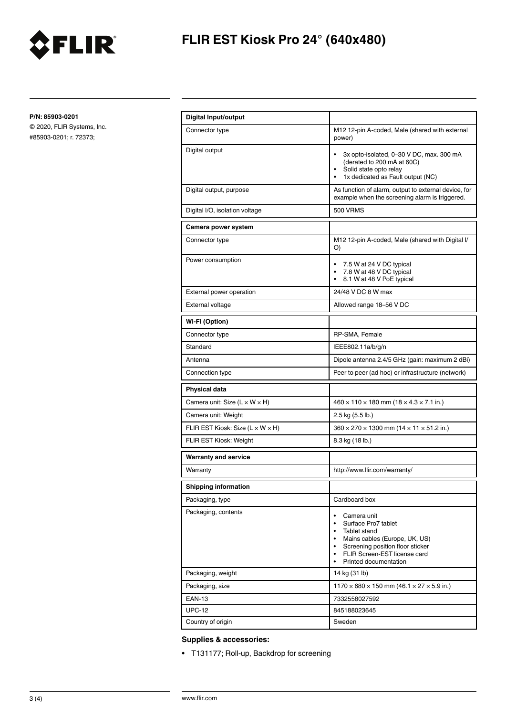

# **FLIR EST Kiosk Pro 24° (640x480)**

**P/N: 85903-0201**

© 2020, FLIR Systems, Inc. #85903-0201; r. 72373;

| Digital Input/output                           |                                                                                                                                                                                                                                                     |
|------------------------------------------------|-----------------------------------------------------------------------------------------------------------------------------------------------------------------------------------------------------------------------------------------------------|
| Connector type                                 | M12 12-pin A-coded, Male (shared with external<br>power)                                                                                                                                                                                            |
| Digital output                                 | 3x opto-isolated, 0-30 V DC, max. 300 mA<br>٠<br>(derated to 200 mA at 60C)<br>Solid state opto relay<br>٠<br>1x dedicated as Fault output (NC)<br>٠                                                                                                |
| Digital output, purpose                        | As function of alarm, output to external device, for<br>example when the screening alarm is triggered.                                                                                                                                              |
| Digital I/O, isolation voltage                 | <b>500 VRMS</b>                                                                                                                                                                                                                                     |
| Camera power system                            |                                                                                                                                                                                                                                                     |
| Connector type                                 | M12 12-pin A-coded, Male (shared with Digital I/<br>O)                                                                                                                                                                                              |
| Power consumption                              | 7.5 W at 24 V DC typical<br>٠<br>7.8 W at 48 V DC typical<br>8.1 W at 48 V PoE typical<br>٠                                                                                                                                                         |
| External power operation                       | 24/48 V DC 8 W max                                                                                                                                                                                                                                  |
| External voltage                               | Allowed range 18-56 V DC                                                                                                                                                                                                                            |
| Wi-Fi (Option)                                 |                                                                                                                                                                                                                                                     |
| Connector type                                 | RP-SMA, Female                                                                                                                                                                                                                                      |
| Standard                                       | IEEE802.11a/b/g/n                                                                                                                                                                                                                                   |
| Antenna                                        | Dipole antenna 2.4/5 GHz (gain: maximum 2 dBi)                                                                                                                                                                                                      |
| Connection type                                | Peer to peer (ad hoc) or infrastructure (network)                                                                                                                                                                                                   |
| Physical data                                  |                                                                                                                                                                                                                                                     |
| Camera unit: Size $(L \times W \times H)$      | $460 \times 110 \times 180$ mm $(18 \times 4.3 \times 7.1$ in.)                                                                                                                                                                                     |
| Camera unit: Weight                            | 2.5 kg (5.5 lb.)                                                                                                                                                                                                                                    |
| FLIR EST Kiosk: Size ( $L \times W \times H$ ) | $360 \times 270 \times 1300$ mm ( $14 \times 11 \times 51.2$ in.)                                                                                                                                                                                   |
| FLIR EST Kiosk: Weight                         | 8.3 kg (18 lb.)                                                                                                                                                                                                                                     |
| <b>Warranty and service</b>                    |                                                                                                                                                                                                                                                     |
| Warranty                                       | http://www.flir.com/warranty/                                                                                                                                                                                                                       |
| <b>Shipping information</b>                    |                                                                                                                                                                                                                                                     |
| Packaging, type                                | Cardboard box                                                                                                                                                                                                                                       |
| Packaging, contents                            | Camera unit<br>٠<br>Surface Pro7 tablet<br>$\bullet$<br>Tablet stand<br>٠<br>Mains cables (Europe, UK, US)<br>$\bullet$<br>Screening position floor sticker<br>٠<br>FLIR Screen-EST license card<br>$\bullet$<br>Printed documentation<br>$\bullet$ |
| Packaging, weight                              | 14 kg (31 lb)                                                                                                                                                                                                                                       |
| Packaging, size                                | $1170 \times 680 \times 150$ mm (46.1 $\times$ 27 $\times$ 5.9 in.)                                                                                                                                                                                 |
| <b>EAN-13</b>                                  | 7332558027592                                                                                                                                                                                                                                       |
| <b>UPC-12</b>                                  | 845188023645                                                                                                                                                                                                                                        |
| Country of origin                              | Sweden                                                                                                                                                                                                                                              |

### **Supplies & accessories:**

• T131177; Roll-up, Backdrop for screening